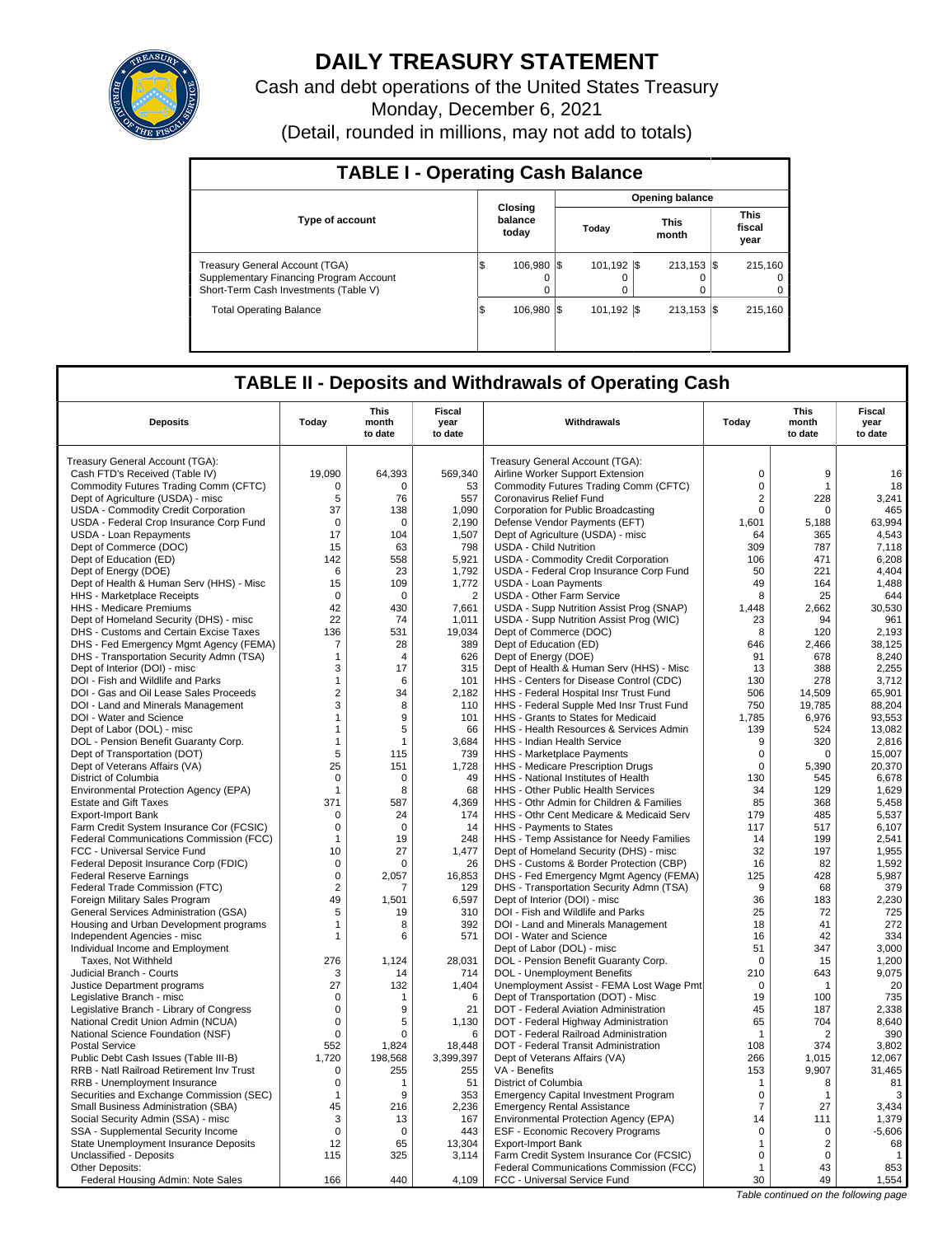

# **DAILY TREASURY STATEMENT**

Cash and debt operations of the United States Treasury Monday, December 6, 2021 (Detail, rounded in millions, may not add to totals)

| <b>TABLE I - Operating Cash Balance</b>                                                                                   |                             |  |                         |  |                           |  |                                   |  |  |  |
|---------------------------------------------------------------------------------------------------------------------------|-----------------------------|--|-------------------------|--|---------------------------|--|-----------------------------------|--|--|--|
|                                                                                                                           |                             |  |                         |  | <b>Opening balance</b>    |  |                                   |  |  |  |
| <b>Type of account</b>                                                                                                    | Closing<br>balance<br>today |  | Today                   |  | <b>This</b><br>month      |  | <b>This</b><br>fiscal<br>year     |  |  |  |
| <b>Treasury General Account (TGA)</b><br>Supplementary Financing Program Account<br>Short-Term Cash Investments (Table V) | 106.980 \\$<br>S<br>0       |  | $101.192$ S<br>$\Omega$ |  | $213.153$ $\sqrt{5}$<br>0 |  | 215.160<br>$^{\circ}$<br>$\Omega$ |  |  |  |
| <b>Total Operating Balance</b>                                                                                            | 106.980 \\$<br>1\$          |  | $101.192$ S             |  | $213.153$ $\sqrt{5}$      |  | 215,160                           |  |  |  |

## **TABLE II - Deposits and Withdrawals of Operating Cash**

|                                                                                |                                | <b>This</b>        | <b>Fiscal</b>   |                                                                                    |                | <b>This</b>                           | <b>Fiscal</b>   |
|--------------------------------------------------------------------------------|--------------------------------|--------------------|-----------------|------------------------------------------------------------------------------------|----------------|---------------------------------------|-----------------|
| <b>Deposits</b>                                                                | Today                          | month<br>to date   | year<br>to date | Withdrawals                                                                        | Today          | month<br>to date                      | year<br>to date |
| Treasury General Account (TGA):                                                |                                |                    |                 | Treasury General Account (TGA):                                                    |                |                                       |                 |
| Cash FTD's Received (Table IV)                                                 | 19,090                         | 64,393             | 569,340         | Airline Worker Support Extension                                                   | $\mathbf 0$    | 9                                     | 16              |
| Commodity Futures Trading Comm (CFTC)                                          | $\Omega$                       | $\Omega$           | 53              | Commodity Futures Trading Comm (CFTC)                                              | $\Omega$       | $\mathbf{1}$                          | 18              |
| Dept of Agriculture (USDA) - misc                                              | 5                              | 76                 | 557             | Coronavirus Relief Fund                                                            | $\overline{c}$ | 228                                   | 3,241           |
| USDA - Commodity Credit Corporation                                            | 37                             | 138                | 1,090           | Corporation for Public Broadcasting                                                | $\mathbf 0$    | $\mathbf 0$                           | 465             |
| USDA - Federal Crop Insurance Corp Fund                                        | $\Omega$                       | $\Omega$           | 2,190           | Defense Vendor Payments (EFT)                                                      | 1,601          | 5,188                                 | 63,994          |
| USDA - Loan Repayments                                                         | 17                             | 104                | 1,507           | Dept of Agriculture (USDA) - misc                                                  | 64             | 365                                   | 4,543           |
| Dept of Commerce (DOC)                                                         | 15                             | 63                 | 798             | <b>USDA - Child Nutrition</b>                                                      | 309            | 787                                   | 7,118           |
| Dept of Education (ED)                                                         | 142                            | 558                | 5,921           | USDA - Commodity Credit Corporation                                                | 106            | 471                                   | 6,208           |
| Dept of Energy (DOE)                                                           | 6                              | 23                 | 1,792           | USDA - Federal Crop Insurance Corp Fund                                            | 50             | 221                                   | 4,404           |
| Dept of Health & Human Serv (HHS) - Misc                                       | 15                             | 109                | 1,772           | <b>USDA - Loan Payments</b>                                                        | 49             | 164                                   | 1.488           |
| HHS - Marketplace Receipts                                                     | $\mathbf 0$                    | $\Omega$           | $\overline{2}$  | <b>USDA - Other Farm Service</b>                                                   | 8              | 25                                    | 644             |
| HHS - Medicare Premiums                                                        | 42                             | 430                | 7,661           | USDA - Supp Nutrition Assist Prog (SNAP)                                           | 1.448          | 2,662                                 | 30,530          |
| Dept of Homeland Security (DHS) - misc                                         | 22                             | 74                 | 1,011           | USDA - Supp Nutrition Assist Prog (WIC)                                            | 23             | 94                                    | 961             |
| DHS - Customs and Certain Excise Taxes                                         | 136                            | 531                | 19,034          | Dept of Commerce (DOC)                                                             | 8              | 120                                   | 2.193           |
| DHS - Fed Emergency Mgmt Agency (FEMA)                                         | 7                              | 28                 | 389             | Dept of Education (ED)                                                             | 646            | 2,466                                 | 38,125          |
| DHS - Transportation Security Admn (TSA)                                       | $\mathbf{1}$                   | $\overline{4}$     | 626             | Dept of Energy (DOE)                                                               | 91             | 678                                   | 8,240           |
| Dept of Interior (DOI) - misc                                                  | 3                              | 17                 | 315             | Dept of Health & Human Serv (HHS) - Misc                                           | 13             | 388                                   | 2,255           |
| DOI - Fish and Wildlife and Parks<br>DOI - Gas and Oil Lease Sales Proceeds    | $\mathbf{1}$<br>$\overline{2}$ | 6<br>34            | 101<br>2,182    | HHS - Centers for Disease Control (CDC)                                            | 130<br>506     | 278<br>14,509                         | 3.712<br>65,901 |
| DOI - Land and Minerals Management                                             | 3                              | 8                  | 110             | HHS - Federal Hospital Insr Trust Fund<br>HHS - Federal Supple Med Insr Trust Fund | 750            | 19,785                                | 88,204          |
| DOI - Water and Science                                                        | $\mathbf{1}$                   | 9                  | 101             | HHS - Grants to States for Medicaid                                                | 1,785          | 6,976                                 | 93,553          |
| Dept of Labor (DOL) - misc                                                     | 1                              | 5                  | 66              | HHS - Health Resources & Services Admin                                            | 139            | 524                                   | 13,082          |
| DOL - Pension Benefit Guaranty Corp.                                           | $\mathbf{1}$                   | $\mathbf{1}$       | 3,684           | HHS - Indian Health Service                                                        | 9              | 320                                   | 2,816           |
| Dept of Transportation (DOT)                                                   | 5                              | 115                | 739             | HHS - Marketplace Payments                                                         | 0              | 0                                     | 15,007          |
| Dept of Veterans Affairs (VA)                                                  | 25                             | 151                | 1,728           | HHS - Medicare Prescription Drugs                                                  | $\Omega$       | 5,390                                 | 20,370          |
| District of Columbia                                                           | $\Omega$                       | $\Omega$           | 49              | HHS - National Institutes of Health                                                | 130            | 545                                   | 6,678           |
| Environmental Protection Agency (EPA)                                          | 1                              | 8                  | 68              | HHS - Other Public Health Services                                                 | 34             | 129                                   | 1,629           |
| <b>Estate and Gift Taxes</b>                                                   | 371                            | 587                | 4,369           | HHS - Othr Admin for Children & Families                                           | 85             | 368                                   | 5,458           |
| <b>Export-Import Bank</b>                                                      | $\Omega$                       | 24                 | 174             | HHS - Othr Cent Medicare & Medicaid Serv                                           | 179            | 485                                   | 5,537           |
| Farm Credit System Insurance Cor (FCSIC)                                       | 0                              | $\Omega$           | 14              | HHS - Payments to States                                                           | 117            | 517                                   | 6,107           |
| Federal Communications Commission (FCC)                                        | $\mathbf{1}$                   | 19                 | 248             | HHS - Temp Assistance for Needy Families                                           | 14             | 199                                   | 2,541           |
| FCC - Universal Service Fund                                                   | 10                             | 27                 | 1,477           | Dept of Homeland Security (DHS) - misc                                             | 32             | 197                                   | 1,955           |
| Federal Deposit Insurance Corp (FDIC)                                          | 0                              | $\Omega$           | 26              | DHS - Customs & Border Protection (CBP)                                            | 16             | 82                                    | 1,592           |
| <b>Federal Reserve Earnings</b>                                                | $\mathbf 0$                    | 2.057              | 16,853          | DHS - Fed Emergency Mgmt Agency (FEMA)                                             | 125            | 428                                   | 5,987           |
| Federal Trade Commission (FTC)                                                 | $\overline{2}$                 |                    | 129             | DHS - Transportation Security Admn (TSA)                                           | 9              | 68                                    | 379             |
| Foreign Military Sales Program                                                 | 49                             | 1,501              | 6,597           | Dept of Interior (DOI) - misc                                                      | 36             | 183                                   | 2,230           |
| <b>General Services Administration (GSA)</b>                                   | 5                              | 19                 | 310             | DOI - Fish and Wildlife and Parks                                                  | 25             | 72                                    | 725             |
| Housing and Urban Development programs                                         | 1                              | 8                  | 392             | DOI - Land and Minerals Management                                                 | 18             | 41                                    | 272             |
| Independent Agencies - misc                                                    |                                | 6                  | 571             | DOI - Water and Science                                                            | 16             | 42                                    | 334             |
| Individual Income and Employment                                               |                                |                    |                 | Dept of Labor (DOL) - misc                                                         | 51             | 347                                   | 3,000           |
| Taxes. Not Withheld                                                            | 276                            | 1.124              | 28.031          | DOL - Pension Benefit Guaranty Corp.                                               | $\Omega$       | 15                                    | 1,200           |
| Judicial Branch - Courts                                                       | 3                              | 14                 | 714             | DOL - Unemployment Benefits                                                        | 210            | 643                                   | 9,075           |
| Justice Department programs                                                    | 27<br>$\Omega$                 | 132<br>$\mathbf 1$ | 1,404           | Unemployment Assist - FEMA Lost Wage Pmt                                           | $\mathbf 0$    | $\overline{1}$                        | 20              |
| Legislative Branch - misc                                                      | 0                              | 9                  | 6<br>21         | Dept of Transportation (DOT) - Misc                                                | 19<br>45       | 100<br>187                            | 735<br>2.338    |
| Legislative Branch - Library of Congress<br>National Credit Union Admin (NCUA) | 0                              | 5                  | 1,130           | DOT - Federal Aviation Administration                                              | 65             | 704                                   | 8,640           |
| National Science Foundation (NSF)                                              | 0                              | 0                  | 6               | DOT - Federal Highway Administration<br>DOT - Federal Railroad Administration      | $\mathbf{1}$   | $\overline{2}$                        | 390             |
| <b>Postal Service</b>                                                          | 552                            | 1,824              | 18,448          | DOT - Federal Transit Administration                                               | 108            | 374                                   | 3,802           |
| Public Debt Cash Issues (Table III-B)                                          | 1.720                          | 198.568            | 3,399,397       | Dept of Veterans Affairs (VA)                                                      | 266            | 1.015                                 | 12.067          |
| RRB - Natl Railroad Retirement Inv Trust                                       | 0                              | 255                | 255             | VA - Benefits                                                                      | 153            | 9,907                                 | 31,465          |
| RRB - Unemployment Insurance                                                   | 0                              | $\overline{1}$     | 51              | District of Columbia                                                               | $\mathbf{1}$   | 8                                     | 81              |
| Securities and Exchange Commission (SEC)                                       | 1                              | 9                  | 353             | <b>Emergency Capital Investment Program</b>                                        | $\mathsf 0$    | 1                                     | 3               |
| Small Business Administration (SBA)                                            | 45                             | 216                | 2.236           | <b>Emergency Rental Assistance</b>                                                 | 7              | 27                                    | 3.434           |
| Social Security Admin (SSA) - misc                                             | 3                              | 13                 | 167             | Environmental Protection Agency (EPA)                                              | 14             | 111                                   | 1,379           |
| SSA - Supplemental Security Income                                             | $\mathbf 0$                    | $\mathbf 0$        | 443             | ESF - Economic Recovery Programs                                                   | 0              | $\mathbf 0$                           | $-5,606$        |
| State Unemployment Insurance Deposits                                          | 12                             | 65                 | 13,304          | <b>Export-Import Bank</b>                                                          | 1              | $\overline{2}$                        | 68              |
| Unclassified - Deposits                                                        | 115                            | 325                | 3,114           | Farm Credit System Insurance Cor (FCSIC)                                           | $\Omega$       | $\Omega$                              | $\mathbf{1}$    |
| Other Deposits:                                                                |                                |                    |                 | Federal Communications Commission (FCC)                                            | $\mathbf{1}$   | 43                                    | 853             |
| Federal Housing Admin: Note Sales                                              | 166                            | 440                | 4,109           | FCC - Universal Service Fund                                                       | 30             | 49                                    | 1,554           |
|                                                                                |                                |                    |                 |                                                                                    |                | Table continued on the following page |                 |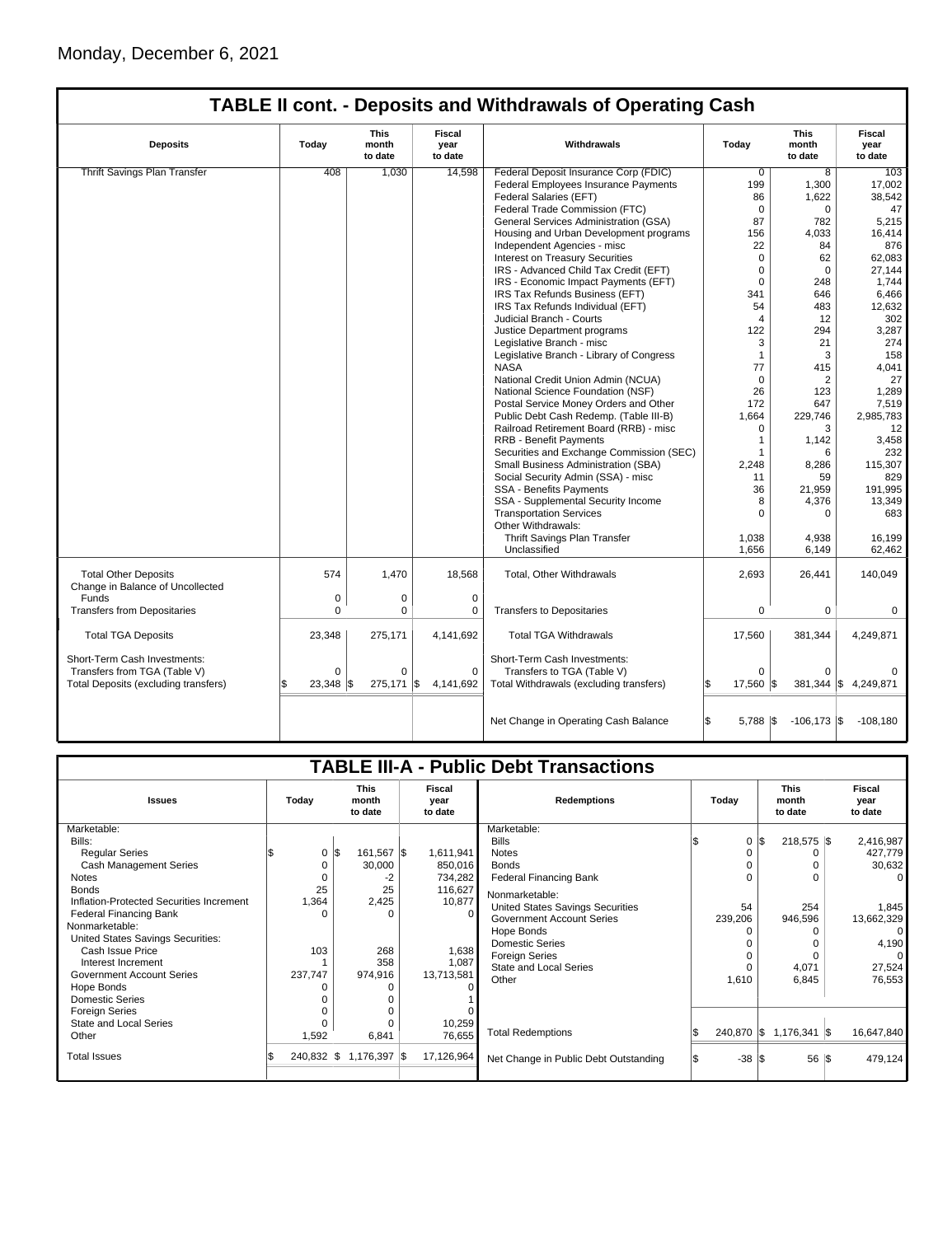|                                      |                                                                                      |              |             | <b>TABLE II cont. - Deposits and Withdrawals of Operating Cash</b> |                           |               |                      |
|--------------------------------------|--------------------------------------------------------------------------------------|--------------|-------------|--------------------------------------------------------------------|---------------------------|---------------|----------------------|
| <b>Deposits</b>                      | <b>This</b><br>Fiscal<br>month<br>Withdrawals<br>Today<br>year<br>to date<br>to date |              | Today       | <b>This</b><br>month<br>to date                                    | Fiscal<br>year<br>to date |               |                      |
| Thrift Savings Plan Transfer         | 408                                                                                  | 1,030        | 14,598      | Federal Deposit Insurance Corp (FDIC)                              | $\overline{0}$            | 8             | 103                  |
|                                      |                                                                                      |              |             | <b>Federal Employees Insurance Payments</b>                        | 199                       | 1,300         | 17,002               |
|                                      |                                                                                      |              |             | Federal Salaries (EFT)                                             | 86                        | 1,622         | 38,542               |
|                                      |                                                                                      |              |             | Federal Trade Commission (FTC)                                     | $\mathbf 0$               | 0             | 47                   |
|                                      |                                                                                      |              |             | General Services Administration (GSA)                              | 87                        | 782           | 5,215                |
|                                      |                                                                                      |              |             | Housing and Urban Development programs                             | 156                       | 4,033         | 16,414               |
|                                      |                                                                                      |              |             | Independent Agencies - misc                                        | 22                        | 84            | 876                  |
|                                      |                                                                                      |              |             | Interest on Treasury Securities                                    | $\Omega$                  | 62            | 62,083               |
|                                      |                                                                                      |              |             | IRS - Advanced Child Tax Credit (EFT)                              | $\Omega$                  | $\Omega$      | 27,144               |
|                                      |                                                                                      |              |             | IRS - Economic Impact Payments (EFT)                               | $\mathbf 0$               | 248           | 1,744                |
|                                      |                                                                                      |              |             | IRS Tax Refunds Business (EFT)                                     | 341                       | 646           | 6,466                |
|                                      |                                                                                      |              |             | IRS Tax Refunds Individual (EFT)                                   | 54                        | 483           | 12,632               |
|                                      |                                                                                      |              |             | Judicial Branch - Courts                                           | 4                         | 12            | 302                  |
|                                      |                                                                                      |              |             | Justice Department programs                                        | 122                       | 294           | 3,287                |
|                                      |                                                                                      |              |             | Legislative Branch - misc                                          | 3                         | 21            | 274                  |
|                                      |                                                                                      |              |             | Legislative Branch - Library of Congress                           | $\mathbf{1}$              | 3             | 158                  |
|                                      |                                                                                      |              |             | <b>NASA</b>                                                        | 77                        | 415           | 4.041                |
|                                      |                                                                                      |              |             | National Credit Union Admin (NCUA)                                 | $\mathbf 0$               | 2             | 27                   |
|                                      |                                                                                      |              |             | National Science Foundation (NSF)                                  | 26                        | 123           | 1,289                |
|                                      |                                                                                      |              |             | Postal Service Money Orders and Other                              | 172                       | 647           | 7,519                |
|                                      |                                                                                      |              |             | Public Debt Cash Redemp. (Table III-B)                             | 1,664                     | 229,746       | 2,985,783            |
|                                      |                                                                                      |              |             | Railroad Retirement Board (RRB) - misc                             | 0                         | 3             | 12                   |
|                                      |                                                                                      |              |             | <b>RRB - Benefit Payments</b>                                      | $\mathbf{1}$              | 1,142         | 3,458                |
|                                      |                                                                                      |              |             | Securities and Exchange Commission (SEC)                           |                           | 6             | 232                  |
|                                      |                                                                                      |              |             | Small Business Administration (SBA)                                | 2,248                     | 8,286         | 115,307              |
|                                      |                                                                                      |              |             | Social Security Admin (SSA) - misc                                 | 11                        | 59            | 829                  |
|                                      |                                                                                      |              |             | SSA - Benefits Payments                                            | 36                        | 21,959        | 191,995              |
|                                      |                                                                                      |              |             | SSA - Supplemental Security Income                                 | 8                         | 4,376         | 13,349               |
|                                      |                                                                                      |              |             | <b>Transportation Services</b>                                     | $\Omega$                  | $\Omega$      | 683                  |
|                                      |                                                                                      |              |             | Other Withdrawals:                                                 |                           |               |                      |
|                                      |                                                                                      |              |             | Thrift Savings Plan Transfer                                       | 1,038                     | 4,938         | 16,199               |
|                                      |                                                                                      |              |             | Unclassified                                                       | 1,656                     | 6,149         | 62,462               |
|                                      |                                                                                      |              |             |                                                                    |                           |               |                      |
| <b>Total Other Deposits</b>          | 574                                                                                  | 1,470        | 18,568      | Total, Other Withdrawals                                           | 2,693                     | 26,441        | 140,049              |
| Change in Balance of Uncollected     |                                                                                      |              |             |                                                                    |                           |               |                      |
| Funds                                | 0                                                                                    | 0            | $\pmb{0}$   |                                                                    |                           |               |                      |
| <b>Transfers from Depositaries</b>   | $\Omega$                                                                             | $\Omega$     | $\mathbf 0$ | <b>Transfers to Depositaries</b>                                   | $\mathbf 0$               | 0             | 0                    |
| <b>Total TGA Deposits</b>            | 23,348                                                                               | 275,171      | 4,141,692   | <b>Total TGA Withdrawals</b>                                       | 17,560                    | 381,344       | 4,249,871            |
|                                      |                                                                                      |              |             |                                                                    |                           |               |                      |
| Short-Term Cash Investments:         |                                                                                      |              |             | Short-Term Cash Investments:                                       |                           |               |                      |
| Transfers from TGA (Table V)         | 0                                                                                    | 0            | 0           | Transfers to TGA (Table V)                                         | 0                         | $\Omega$      |                      |
| Total Deposits (excluding transfers) | $23,348$ \\$                                                                         | $275,171$ \$ | 4,141,692   | Total Withdrawals (excluding transfers)                            | 17,560 \$<br>\$.          |               | 381,344 \$ 4,249,871 |
|                                      |                                                                                      |              |             | Net Change in Operating Cash Balance                               | \$<br>$5,788$ \\$         | $-106,173$ \$ | $-108,180$           |
|                                      |                                                                                      |              |             |                                                                    |                           |               |                      |

| <b>TABLE III-A - Public Debt Transactions</b> |  |              |     |                                 |  |                           |                                       |  |                  |     |                |  |                                 |  |                           |  |
|-----------------------------------------------|--|--------------|-----|---------------------------------|--|---------------------------|---------------------------------------|--|------------------|-----|----------------|--|---------------------------------|--|---------------------------|--|
| <b>Issues</b>                                 |  | Today        |     | <b>This</b><br>month<br>to date |  | Fiscal<br>year<br>to date | <b>Redemptions</b>                    |  | Today            |     |                |  | <b>This</b><br>month<br>to date |  | Fiscal<br>year<br>to date |  |
| Marketable:                                   |  |              |     |                                 |  |                           | Marketable:                           |  |                  |     |                |  |                                 |  |                           |  |
| Bills:                                        |  |              |     |                                 |  |                           | <b>Bills</b>                          |  | $\Omega$         | l\$ | 218,575 \$     |  | 2,416,987                       |  |                           |  |
| <b>Regular Series</b>                         |  | 0            | l\$ | 161,567 \$                      |  | 1,611,941                 | <b>Notes</b>                          |  | 0                |     |                |  | 427,779                         |  |                           |  |
| <b>Cash Management Series</b>                 |  | 0            |     | 30,000                          |  | 850,016                   | <b>Bonds</b>                          |  | 0                |     |                |  | 30,632                          |  |                           |  |
| <b>Notes</b>                                  |  |              |     | -2                              |  | 734,282                   | <b>Federal Financing Bank</b>         |  | 0                |     |                |  | $\Omega$                        |  |                           |  |
| <b>Bonds</b>                                  |  | 25           |     | 25                              |  | 116,627                   | Nonmarketable:                        |  |                  |     |                |  |                                 |  |                           |  |
| Inflation-Protected Securities Increment      |  | 1,364        |     | 2,425                           |  | 10,877                    | United States Savings Securities      |  | 54               |     | 254            |  | 1,845                           |  |                           |  |
| <b>Federal Financing Bank</b>                 |  |              |     |                                 |  |                           | <b>Government Account Series</b>      |  | 239,206          |     | 946,596        |  | 13,662,329                      |  |                           |  |
| Nonmarketable:                                |  |              |     |                                 |  |                           | Hope Bonds                            |  |                  |     |                |  | $\Omega$                        |  |                           |  |
| United States Savings Securities:             |  |              |     |                                 |  |                           | <b>Domestic Series</b>                |  |                  |     |                |  | 4,190                           |  |                           |  |
| Cash Issue Price                              |  | 103          |     | 268                             |  | 1,638                     | <b>Foreign Series</b>                 |  | 0                |     |                |  | $\Omega$                        |  |                           |  |
| Interest Increment                            |  |              |     | 358                             |  | 1,087                     | State and Local Series                |  | $\Omega$         |     | 4,071          |  | 27,524                          |  |                           |  |
| <b>Government Account Series</b>              |  | 237,747      |     | 974,916                         |  | 13,713,581                | Other                                 |  | 1,610            |     |                |  |                                 |  |                           |  |
| Hope Bonds                                    |  |              |     |                                 |  |                           |                                       |  |                  |     | 6,845          |  | 76,553                          |  |                           |  |
| <b>Domestic Series</b>                        |  |              |     |                                 |  |                           |                                       |  |                  |     |                |  |                                 |  |                           |  |
| <b>Foreign Series</b>                         |  |              |     |                                 |  |                           |                                       |  |                  |     |                |  |                                 |  |                           |  |
| State and Local Series                        |  |              |     |                                 |  | 10,259                    |                                       |  |                  |     |                |  |                                 |  |                           |  |
| Other                                         |  | 1,592        |     | 6,841                           |  | 76,655                    | <b>Total Redemptions</b>              |  | 240,870 \$       |     | $1,176,341$ \$ |  | 16,647,840                      |  |                           |  |
| <b>Total Issues</b>                           |  | $240,832$ \$ |     | 1,176,397 \$                    |  | 17,126,964                | Net Change in Public Debt Outstanding |  | $-38$ $\sqrt{3}$ |     | 56 S           |  | 479,124                         |  |                           |  |
|                                               |  |              |     |                                 |  |                           |                                       |  |                  |     |                |  |                                 |  |                           |  |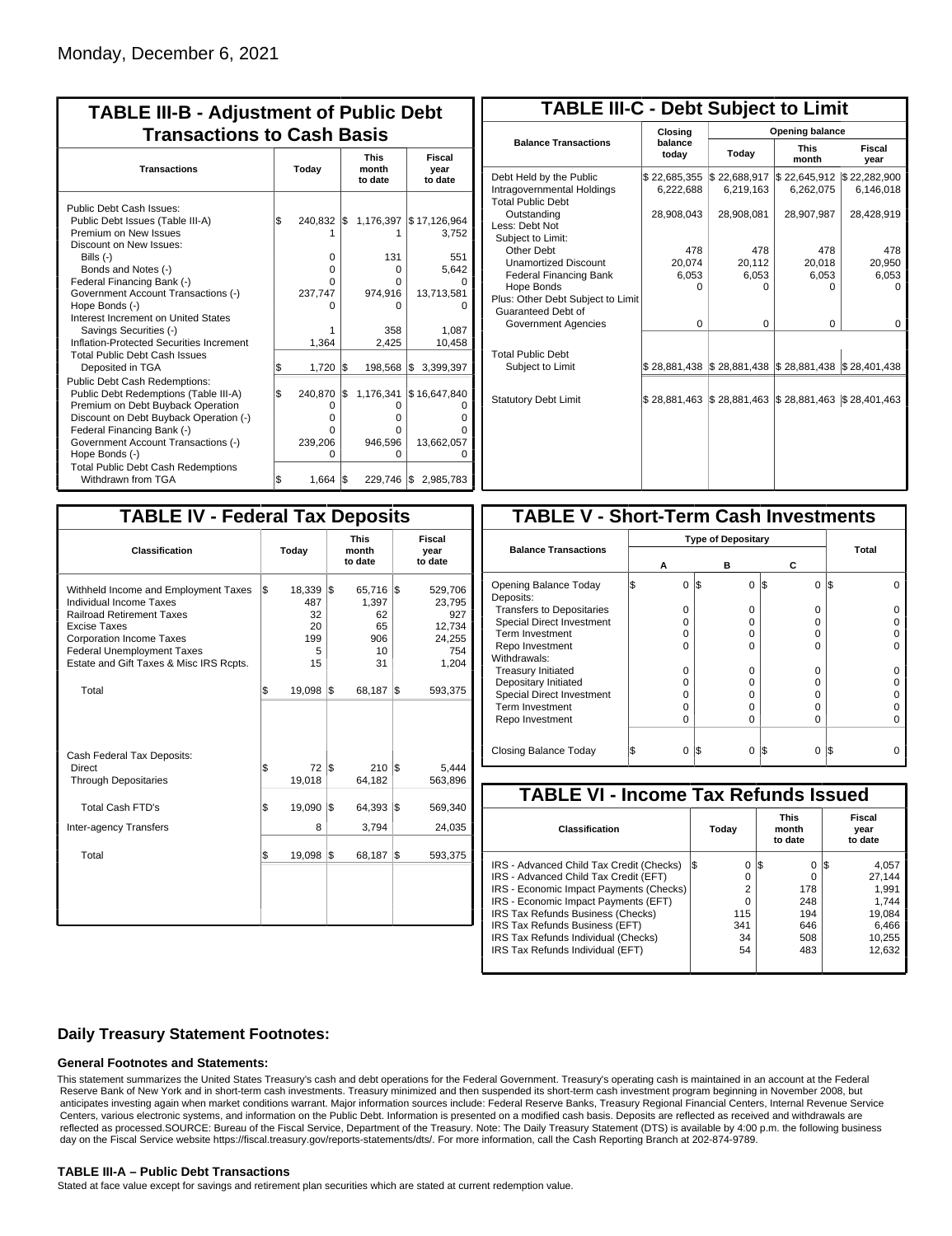| <b>TABLE III-B - Adjustment of Public Debt</b><br><b>Transactions to Cash Basis</b> |                                                            |                                                                        |  |  |  |  |  |  |  |  |
|-------------------------------------------------------------------------------------|------------------------------------------------------------|------------------------------------------------------------------------|--|--|--|--|--|--|--|--|
| Today                                                                               | <b>This</b><br>month<br>to date                            | Fiscal<br>year<br>to date                                              |  |  |  |  |  |  |  |  |
| 240,832 \$<br>$\Omega$<br>o<br>O<br>237,747<br>1.364                                | 1,176,397<br>131<br>0<br>O<br>974,916<br>n<br>358<br>2,425 | \$17,126,964<br>3.752<br>551<br>5,642<br>13,713,581<br>1,087<br>10,458 |  |  |  |  |  |  |  |  |
| 1,720<br>240,870<br>0<br>o<br>O<br>239,206<br>ი                                     | 198,568<br>1,176,341<br>0<br>o<br>0<br>946,596<br>0        | 3,399,397<br>Ι\$<br>\$16,647,840<br>Ω<br>13,662,057<br>Ω               |  |  |  |  |  |  |  |  |
|                                                                                     | 1,664                                                      | l\$<br>\$<br>\$<br>229.746 \$                                          |  |  |  |  |  |  |  |  |

| <b>TABLE III-C - Debt Subject to Limit</b>                                        |                           |                           |                           |                           |  |  |  |  |  |  |  |
|-----------------------------------------------------------------------------------|---------------------------|---------------------------|---------------------------|---------------------------|--|--|--|--|--|--|--|
|                                                                                   | Closing                   | Opening balance           |                           |                           |  |  |  |  |  |  |  |
| <b>Balance Transactions</b>                                                       | balance<br>today          | Today                     | <b>This</b><br>month      | Fiscal<br>year            |  |  |  |  |  |  |  |
| Debt Held by the Public<br>Intragovernmental Holdings<br><b>Total Public Debt</b> | \$22,685,355<br>6,222,688 | \$22,688,917<br>6,219,163 | \$22,645,912<br>6,262,075 | \$22,282,900<br>6,146,018 |  |  |  |  |  |  |  |
| Outstanding<br>Less: Debt Not<br>Subject to Limit:                                | 28,908,043                | 28,908,081                | 28,907,987                | 28,428,919                |  |  |  |  |  |  |  |
| <b>Other Debt</b>                                                                 | 478                       | 478                       | 478                       | 478                       |  |  |  |  |  |  |  |
| <b>Unamortized Discount</b>                                                       | 20,074                    | 20,112                    | 20,018                    | 20,950                    |  |  |  |  |  |  |  |
| <b>Federal Financing Bank</b>                                                     | 6,053                     | 6,053                     | 6,053                     | 6,053                     |  |  |  |  |  |  |  |
| Hope Bonds                                                                        | U                         | O                         | n                         | O                         |  |  |  |  |  |  |  |
| Plus: Other Debt Subject to Limit<br>Guaranteed Debt of                           |                           |                           |                           |                           |  |  |  |  |  |  |  |
| Government Agencies                                                               | $\Omega$                  | $\Omega$                  | $\Omega$                  | 0                         |  |  |  |  |  |  |  |
| <b>Total Public Debt</b><br>Subject to Limit                                      | \$28,881,438              | \$28,881,438              | \$28,881,438              | \$28,401,438              |  |  |  |  |  |  |  |
|                                                                                   |                           |                           |                           |                           |  |  |  |  |  |  |  |
| <b>Statutory Debt Limit</b>                                                       | \$28,881,463              | \$28,881,463              | \$28,881,463              | \$28,401,463              |  |  |  |  |  |  |  |
|                                                                                   |                           |                           |                           |                           |  |  |  |  |  |  |  |

| <b>TABLE IV - Federal Tax Deposits</b>                                                                                                                                                                                                        |     |                                             |     |                                                |     |                                                              |
|-----------------------------------------------------------------------------------------------------------------------------------------------------------------------------------------------------------------------------------------------|-----|---------------------------------------------|-----|------------------------------------------------|-----|--------------------------------------------------------------|
| <b>Classification</b>                                                                                                                                                                                                                         |     | Today                                       |     | <b>This</b><br>month<br>to date                |     | Fiscal<br>year<br>to date                                    |
| Withheld Income and Employment Taxes<br>Individual Income Taxes<br><b>Railroad Retirement Taxes</b><br><b>Excise Taxes</b><br><b>Corporation Income Taxes</b><br><b>Federal Unemployment Taxes</b><br>Estate and Gift Taxes & Misc IRS Rcpts. | l\$ | 18,339<br>487<br>32<br>20<br>199<br>5<br>15 | 1\$ | 65,716<br>1,397<br>62<br>65<br>906<br>10<br>31 | l\$ | 529,706<br>23,795<br>927<br>12,734<br>24,255<br>754<br>1,204 |
| Total                                                                                                                                                                                                                                         | \$  | 19,098 \$                                   |     | 68,187                                         | 1\$ | 593,375                                                      |
| Cash Federal Tax Deposits:<br>Direct<br><b>Through Depositaries</b>                                                                                                                                                                           | \$  | 72<br>19,018                                | l\$ | 210S<br>64,182                                 |     | 5,444<br>563,896                                             |
| <b>Total Cash FTD's</b>                                                                                                                                                                                                                       | \$  | 19,090                                      | l\$ | 64,393                                         | l\$ | 569,340                                                      |
| Inter-agency Transfers                                                                                                                                                                                                                        |     | 8                                           |     | 3,794                                          |     | 24,035                                                       |
| Total                                                                                                                                                                                                                                         | \$  | 19,098                                      | 1\$ | 68,187                                         | l\$ | 593,375                                                      |
|                                                                                                                                                                                                                                               |     |                                             |     |                                                |     |                                                              |

| <b>TABLE V - Short-Term Cash Investments</b> |   |   |          |     |          |       |  |  |  |  |
|----------------------------------------------|---|---|----------|-----|----------|-------|--|--|--|--|
|                                              |   |   |          |     |          |       |  |  |  |  |
| <b>Balance Transactions</b>                  |   |   |          |     |          | Total |  |  |  |  |
|                                              | А |   | в        |     | С        |       |  |  |  |  |
| Opening Balance Today<br>Deposits:           |   | 0 | l\$<br>0 | 1\$ | 0        | 1\$   |  |  |  |  |
| <b>Transfers to Depositaries</b>             |   | O | 0        |     | 0        |       |  |  |  |  |
| <b>Special Direct Investment</b>             |   | O | O        |     | 0        |       |  |  |  |  |
| Term Investment                              |   | O | O        |     | 0        |       |  |  |  |  |
| Repo Investment                              |   | O | 0        |     | 0        |       |  |  |  |  |
| Withdrawals:                                 |   |   |          |     |          |       |  |  |  |  |
| <b>Treasury Initiated</b>                    |   | O | 0        |     | 0        |       |  |  |  |  |
| Depositary Initiated                         |   | O | O        |     | 0        |       |  |  |  |  |
| <b>Special Direct Investment</b>             |   | O | O        |     | 0        |       |  |  |  |  |
| <b>Term Investment</b>                       |   | ი | 0        |     | 0        |       |  |  |  |  |
| Repo Investment                              |   | 0 | O        |     | 0        |       |  |  |  |  |
|                                              |   |   |          |     |          |       |  |  |  |  |
| Closing Balance Today                        |   | 0 | I\$<br>0 |     | I\$<br>0 | I\$   |  |  |  |  |

| <b>TABLE VI - Income Tax Refunds Issued</b> |    |                |     |                                 |     |                           |  |  |  |  |
|---------------------------------------------|----|----------------|-----|---------------------------------|-----|---------------------------|--|--|--|--|
| Classification                              |    | Today          |     | <b>This</b><br>month<br>to date |     | Fiscal<br>year<br>to date |  |  |  |  |
| IRS - Advanced Child Tax Credit (Checks)    | 13 | 0              | 1\$ | 0                               | 125 | 4,057                     |  |  |  |  |
| IRS - Advanced Child Tax Credit (EFT)       |    | 0              |     | $\Omega$                        |     | 27.144                    |  |  |  |  |
| IRS - Economic Impact Payments (Checks)     |    | $\overline{2}$ |     | 178                             |     | 1.991                     |  |  |  |  |
| IRS - Economic Impact Payments (EFT)        |    | 0              |     | 248                             |     | 1.744                     |  |  |  |  |
| IRS Tax Refunds Business (Checks)           |    | 115            |     | 194                             |     | 19.084                    |  |  |  |  |
| IRS Tax Refunds Business (EFT)              |    | 341            |     | 646                             |     | 6,466                     |  |  |  |  |
| IRS Tax Refunds Individual (Checks)         |    | 34             |     | 508                             |     | 10,255                    |  |  |  |  |
| IRS Tax Refunds Individual (EFT)            |    | 54             |     | 483                             |     | 12.632                    |  |  |  |  |
|                                             |    |                |     |                                 |     |                           |  |  |  |  |

### **Daily Treasury Statement Footnotes:**

#### **General Footnotes and Statements:**

This statement summarizes the United States Treasury's cash and debt operations for the Federal Government. Treasury's operating cash is maintained in an account at the Federal Reserve Bank of New York and in short-term cash investments. Treasury minimized and then suspended its short-term cash investment program beginning in November 2008, but anticipates investing again when market conditions warrant. Major information sources include: Federal Reserve Banks, Treasury Regional Financial Centers, Internal Revenue Service Centers, various electronic systems, and information on the Public Debt. Information is presented on a modified cash basis. Deposits are reflected as received and withdrawals are reflected as processed.SOURCE: Bureau of the Fiscal Service, Department of the Treasury. Note: The Daily Treasury Statement (DTS) is available by 4:00 p.m. the following business day on the Fiscal Service website https://fiscal.treasury.gov/reports-statements/dts/. For more information, call the Cash Reporting Branch at 202-874-9789.

#### **TABLE III-A – Public Debt Transactions**

Stated at face value except for savings and retirement plan securities which are stated at current redemption value.